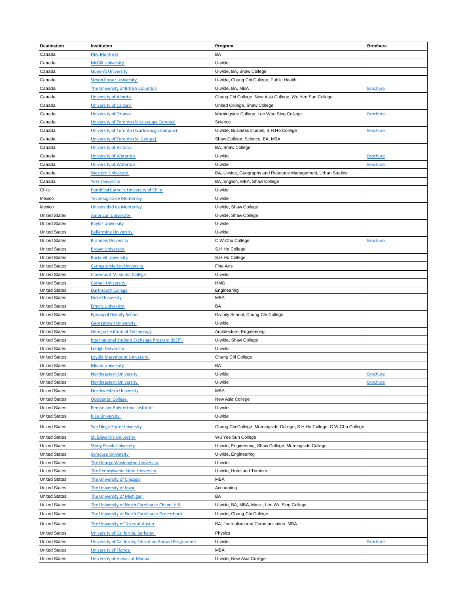| <b>Destination</b>   | Institution                                          | Program                                                                 | <b>Brochure</b> |
|----------------------|------------------------------------------------------|-------------------------------------------------------------------------|-----------------|
| Canada               | <b>HEC Montreal</b>                                  | BA                                                                      |                 |
| Canada               | <b>McGill University</b>                             | U-wide                                                                  |                 |
| Canada               | <b>Queen's University</b>                            | U-wide, BA, Shaw College                                                |                 |
| Canada               | <b>Simon Fraser University</b>                       | U-wide, Chung Chi College, Public Health                                |                 |
| Canada               | The University of British Columbia                   | U-wide, BA, MBA                                                         | <b>Brochure</b> |
| Canada               | University of Alberta                                | Chung Chi College, New Asia College, Wu Yee Sun College                 |                 |
| Canada               | <b>University of Calgary</b>                         | United College, Shaw College                                            |                 |
| Canada               | University of Ottawa                                 | Morningside College, Lee Woo Sing College                               | <b>Brochure</b> |
| Canada               | University of Toronto (Mississauga Campus)           | Science                                                                 |                 |
| Canada               | University of Toronto (Scarborough Campus)           | U-wide, Business studies, S.H.Ho College                                | <b>Brochure</b> |
| Canada               | University of Toronto (St. George)                   | Shaw College, Science, BA, MBA                                          |                 |
| Canada               | University of Victoria                               | BA, Shaw College                                                        |                 |
| Canada               | University of Waterloo                               | U-wide                                                                  | <b>Brochure</b> |
| Canada               | University of Waterloo                               | U-wide                                                                  | <b>Brochure</b> |
| Canada               | <b>Western University</b>                            | BA, U-wide, Geography and Resource Management, Urban Studies            |                 |
| Canada               | <b>York University</b>                               | BA, English, MBA, Shaw College                                          |                 |
| Chile                | <b>Pontifical Catholic University of Chile</b>       | U-wide                                                                  |                 |
| Mexico               | <b>Tecnologico de Monterrey</b>                      | U-wide                                                                  |                 |
| Mexico               | Universidad de Monterrey                             | U-wide, Shaw College                                                    |                 |
| <b>United States</b> | <b>American University</b>                           | U-wide, Shaw College                                                    |                 |
| <b>United States</b> | <b>Baylor University</b>                             | U-wide                                                                  |                 |
| <b>United States</b> | <b>Bellarmine University</b>                         | U-wide                                                                  |                 |
| <b>United States</b> | <b>Brandeis University</b>                           | C.W.Chu College                                                         | <b>Brochure</b> |
| <b>United States</b> | <b>Brown University</b>                              | S.H.Ho College                                                          |                 |
| <b>United States</b> | <b>Bucknell University</b>                           | S.H.Ho College                                                          |                 |
| <b>United States</b> | <b>Carnegie Mellon University</b>                    | Fine Arts                                                               |                 |
| <b>United States</b> | <b>Claremont McKenna College</b>                     | U-wide                                                                  |                 |
| <b>United States</b> | <b>Cornell University</b>                            | HMG                                                                     |                 |
| <b>United States</b> | <b>Dartmouth College</b>                             | Engineering                                                             |                 |
| <b>United States</b> | <b>Duke University</b>                               | MBA                                                                     |                 |
| <b>United States</b> | <b>Emory University</b>                              | BA                                                                      |                 |
| <b>United States</b> | <b>Episcopal Divinity School</b>                     | Divinity School, Chung Chi College                                      |                 |
| <b>United States</b> | <b>Georgetown University</b>                         | U-wide                                                                  |                 |
| <b>United States</b> | Georgia Institute of Technology                      | Architecture, Engineering                                               |                 |
| <b>United States</b> | International Student Exchange Program (ISEP)        | U-wide, Shaw College                                                    |                 |
| <b>United States</b> | <b>Lehigh University</b>                             | U-wide                                                                  |                 |
| <b>United States</b> | Loyola Marymount University                          | Chung Chi College                                                       |                 |
| <b>United States</b> | <b>Miami University</b>                              | BA                                                                      |                 |
| <b>United States</b> | Northeastern University                              | U-wide                                                                  | <b>Brochure</b> |
| <b>United States</b> | <b>Northeastern University</b>                       | U-wide                                                                  | <b>Brochure</b> |
| <b>United States</b> | Northwestern University                              | <b>MBA</b>                                                              |                 |
| <b>United States</b> | <b>Occidental College</b>                            | New Asia College                                                        |                 |
| <b>United States</b> | Rensselaer Polytechnic Institute                     | U-wide                                                                  |                 |
| <b>United States</b> | <b>Rice University</b>                               | U-wide                                                                  |                 |
| <b>United States</b> | San Diego State University                           | Chung Chi College, Morningside College, S.H.Ho College, C.W.Chu College |                 |
|                      |                                                      |                                                                         |                 |
| <b>United States</b> | St. Edward's University                              | Wu Yee Sun College                                                      |                 |
| <b>United States</b> | <b>Stony Brook University</b>                        | U-wide, Engineering, Shaw College, Morningside College                  |                 |
| <b>United States</b> | <b>Syracuse University</b>                           | U-wide, Engineering                                                     |                 |
| <b>United States</b> | The George Washington University                     | U-wide                                                                  |                 |
| <b>United States</b> | The Pennsylvania State University                    | U-wide, Hotel and Tourism                                               |                 |
| <b>United States</b> | The University of Chicago                            | <b>MBA</b>                                                              |                 |
| <b>United States</b> | The University of Iowa                               | Accounting                                                              |                 |
| <b>United States</b> | The University of Michigan                           | ΒA                                                                      |                 |
| <b>United States</b> | The University of North Carolina at Chapel Hill      | U-wide, BA, MBA, Music, Lee Wu Sing College                             |                 |
| <b>United States</b> | The University of North Carolina at Greensboro       | U-wide, Chung Chi College                                               |                 |
| <b>United States</b> | The University of Texas at Austin                    | BA, Journalism and Communication, MBA                                   |                 |
| <b>United States</b> | University of California, Berkeley                   | Physics                                                                 |                 |
| <b>United States</b> | University of California, Education Abroad Programme | U-wide                                                                  | <b>Brochure</b> |
| <b>United States</b> | University of Florida                                | <b>MBA</b>                                                              |                 |
| <b>United States</b> | University of Hawaii at Manoa                        | U-wide, New Asia College                                                |                 |
|                      |                                                      |                                                                         |                 |